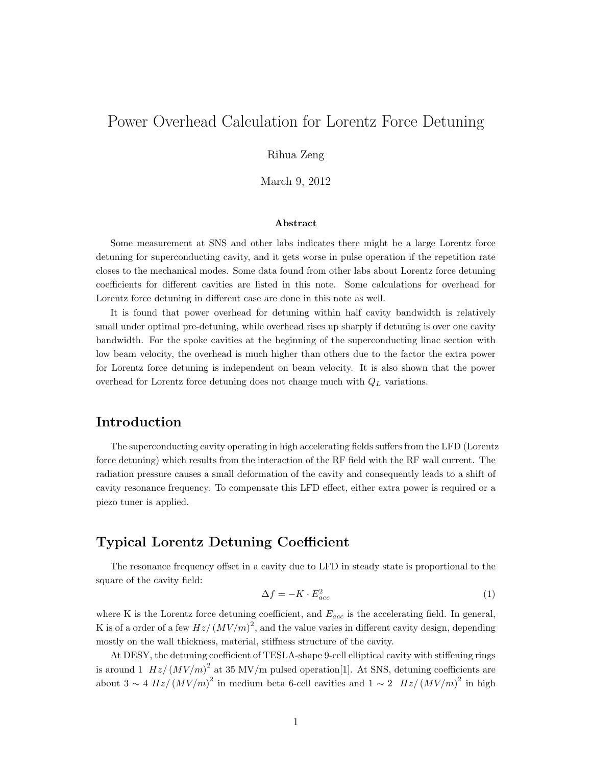# Power Overhead Calculation for Lorentz Force Detuning

#### Rihua Zeng

March 9, 2012

#### Abstract

Some measurement at SNS and other labs indicates there might be a large Lorentz force detuning for superconducting cavity, and it gets worse in pulse operation if the repetition rate closes to the mechanical modes. Some data found from other labs about Lorentz force detuning coefficients for different cavities are listed in this note. Some calculations for overhead for Lorentz force detuning in different case are done in this note as well.

It is found that power overhead for detuning within half cavity bandwidth is relatively small under optimal pre-detuning, while overhead rises up sharply if detuning is over one cavity bandwidth. For the spoke cavities at the beginning of the superconducting linac section with low beam velocity, the overhead is much higher than others due to the factor the extra power for Lorentz force detuning is independent on beam velocity. It is also shown that the power overhead for Lorentz force detuning does not change much with  $Q_L$  variations.

### Introduction

The superconducting cavity operating in high accelerating fields suffers from the LFD (Lorentz force detuning) which results from the interaction of the RF field with the RF wall current. The radiation pressure causes a small deformation of the cavity and consequently leads to a shift of cavity resonance frequency. To compensate this LFD effect, either extra power is required or a piezo tuner is applied.

### Typical Lorentz Detuning Coefficient

The resonance frequency offset in a cavity due to LFD in steady state is proportional to the square of the cavity field:

$$
\Delta f = -K \cdot E_{acc}^2 \tag{1}
$$

where K is the Lorentz force detuning coefficient, and  $E_{acc}$  is the accelerating field. In general, K is of a order of a few  $Hz/(MV/m)^2$ , and the value varies in different cavity design, depending mostly on the wall thickness, material, stiffness structure of the cavity.

At DESY, the detuning coefficient of TESLA-shape 9-cell elliptical cavity with stiffening rings is around 1  $Hz/(MV/m)^2$  at 35 MV/m pulsed operation[1]. At SNS, detuning coefficients are about  $3 \sim 4 Hz/(MV/m)^2$  in medium beta 6-cell cavities and  $1 \sim 2 Hz/(MV/m)^2$  in high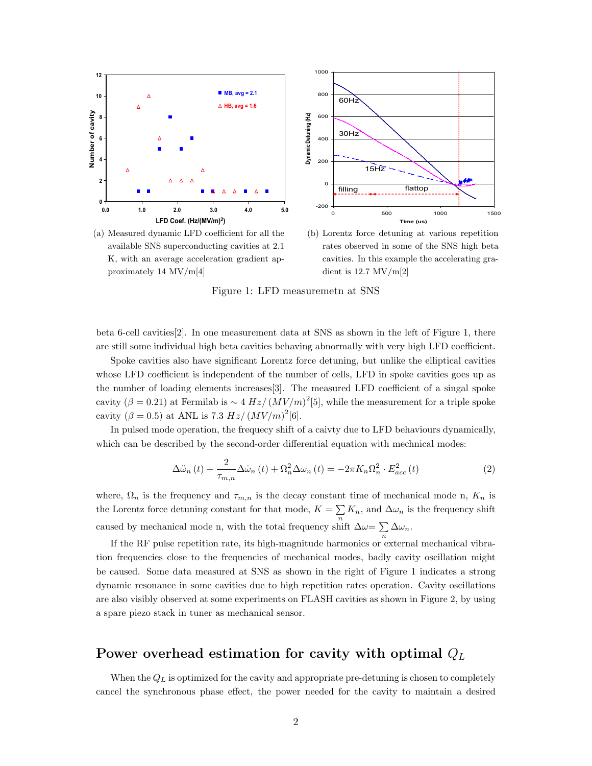

available SNS superconducting cavities at 2.1 K, with an average acceleration gradient approximately 14 MV/m[4] (a) Measured dynamic LFD coefficies proxim

or all the  $\qquad$  (b) Lorentz force detuning at various repetition es at 2.1 mates observed in some of the SNS high beta cavities. In this case of the SNS high beta lient ap-<br>cavities. In this example the accelerating gradient is 12.7 MV/m[2]

 $m_{\text{sum}}$  1. IED me  $\frac{1}{2}$  help. And BCS resistance is a super-fluid of  $\frac{1}{2}$ Because beam-cavity interactions in a SC cavity are so Figure 1: LFD measuremetn at SNS

beta 6-cell cavities [2]. In one measurement data at SNS as shown in the left of Figure 1, there are still some individual high beta cavities behaving abnormally with very high LFD coefficient are still some individual high beta cavities behaving abnormally with very high LFD coefficient.

concern for short pulse mode, as the RF field generated generated generated generations and as the RF field ge Spoke cavities also have significant Lorentz force detuning, but unlike the elliptical cavities whose LFD coefficient is independent of the number of cells, LFD in spoke cavities goes up as the number of loading elements increases[3]. The measured LFD coefficient of a singal spoke cavity  $(\beta = 0.21)$  at Fermilab is  $\sim 4 Hz/(MV/m)^{2}$  [5], while the measurement for a triple spoke cavity  $(\beta = 0.5)$  at ANL is 7.3 Hz/  $(MV/m)^2$ [6]. cavity ( $\beta = 0.21$ ) at Fermilab is ∼ 4 Hz/  $\left(MV/m\right)^2$ [5], while the measurement for a triple spoke

depends on cavity gradient as the RF pulse is too short,  $\frac{1}{2}$  the parcel mode operation, the requesy sime which can be described by the second-order differential equation with mechnical modes: In pulsed mode operation, the frequecy shift of a caivty due to LFD behaviours dynamically,

$$
\Delta \ddot{\omega}_n(t) + \frac{2}{\tau_{m,n}} \Delta \dot{\omega}_n(t) + \Omega_n^2 \Delta \omega_n(t) = -2\pi K_n \Omega_n^2 \cdot E_{acc}^2(t)
$$
\n(2)

where,  $\Omega_n$  is the frequency and  $\tau_{m,n}$  is the decay constant time of mechanical mode n.  $K_n$  is  $\frac{1}{2}$  the Lerentz force detuning constant for that mo the Lorentz force detuning constant for that mode,  $K = \sum_{n} K_n$ , and  $\Delta \omega_n$  is the frequency shift caused by mechanical mode n, with the total frequency shift  $\Delta \omega = \sum \Delta \omega_n$ . where,  $\Omega_n$  is the frequency and  $\tau_{m,n}$  is the decay constant time of mechanical mode n,  $K_n$  is  $\overline{n}$  and at 1 GeV from Traces  $\sum_{n} K_n$ , and  $\Delta \omega_n$  is the frequency shift caused by mechanical mode n, with the total frequency shift  $\Delta \omega = \sum$  $\sum_{n} \Delta \omega_n.$ 

If the RF pulse repetition rate, its high-magnitude harmonics or external mechanical vibraficient for the SC cavities at 2.1 K.1  $\epsilon$ dynamic resonance in some cavities due to high repetition rates operation. Cavity oscillations The setup of carity synchronous phase and field amplia spare piezo stack in tuner as mechanical sensor. tion frequencies close to the frequencies of mechanical modes, badly cavity oscillation might be caused. Some data measured at SNS as shown in the right of Figure 1 indicates a strong  $\overline{t}$  that  $\overline{t}$  is determined from computermined from computer  $\overline{t}$ are also visibly observed at some experiments on FLASH cavities as shown in Figure 2, by using  $\frac{1}{2}$ 

#### Power overhead estimation for cavity with optimal  $Q_L$  $\mathbf{v}$  destructive beam diagnostics instruction instruments are necessary instruments are necessary instruments are necessary in

When the  $Q_L$  is optimized for the cavity and appropriate pre-detuning is chosen to completely  $e = e - \frac{1}{2}$ the context the symmetries phase ences, the power verse and longitudinal phase space matching, so that beams space matching, so that beams space matching, so that beams space matching, so that beams space matching, so that beams space matching, so that beams space matchin cancel the synchronous phase effect, the power needed for the cavity to maintain a desired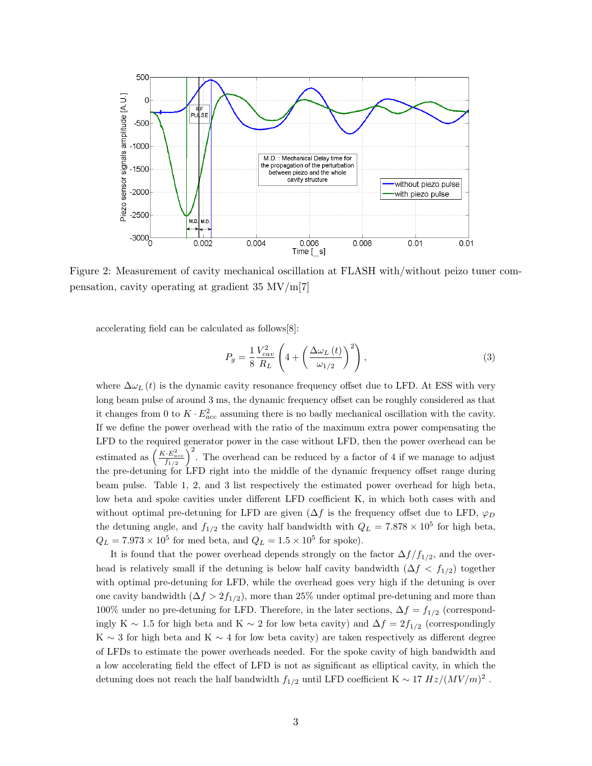

Figure 2: Measurement of cavity mechanical oscillation at FLASH with/without peizo tuner compensation, cavity operating at gradient  $35 \text{ MV/m}[7]$ 

 $\alpha$ celerating field can be calculated as follows[8]:  $\mathbf{C}$ 

$$
P_g = \frac{1}{8} \frac{V_{cav}^2}{R_L} \left( 4 + \left( \frac{\Delta \omega_L \left( t \right)}{\omega_{1/2}} \right)^2 \right),\tag{3}
$$

where  $\Delta\omega_L(t)$  is the dynamic cavity resonance frequency offset due to LFD. At ESS with very long beam pulse of around 3 ms, the dynamic frequency offset can be roughly considered as that  $\frac{1}{2}$  . The state of  $\frac{1}{2}$  or  $\frac{1}{2}$  and  $\frac{1}{2}$ ,  $\frac{1}{2}$  and  $\frac{1}{2}$  and  $\frac{1}{2}$  and  $\frac{1}{2}$  and  $\frac{1}{2}$  and  $\frac{1}{2}$  and  $\frac{1}{2}$  and  $\frac{1}{2}$  and  $\frac{1}{2}$  and  $\frac{1}{2}$  and  $\frac{1}{2}$  and  $\frac{$ it changes from 0 to  $K \cdot E_{acc}^2$  assuming there is no badly mechanical oscillation with the cavity. LFD to the required generator power in the case without LFD, then the power overhead can be  $K^*$ ,  $(K^*E^2)^2$   $\rightarrow$ estimated as  $\left(\frac{K \cdot E_{acc}^2}{f_{1/2}}\right)^2$ . The overhead can be reduced by a factor of 4 if we manage to adjust beam pulse. Table 1, 2, and 3 list respectively the estimated power overhead for high beta, low beta and spoke cavities under different LFD coefficient K, in which both cases with and If we define the power overhead with the ratio of the maximum extra power compensating the the pre-detuning for LFD right into the middle of the dynamic frequency offset range during without optimal pre-detuning for LFD are given ( $\Delta f$  is the frequency offset due to LFD,  $\varphi_D$ the detuning angle, and  $f_{1/2}$  the cavity half bandwidth with  $Q_L = 7.878 \times 10^5$  for high beta,  $Q_L = 7.973 \times 10^5$  for med beta, and  $Q_L = 1.5 \times 10^5$  for spoke).

It is found that the power overhead depends strongly on the factor  $\Delta f/f_{1/2}$ , and the overhead is relatively small if the detuning is below half cavity bandwidth  $(\Delta f < f_{1/2})$  together with optimal pre-detuning for LFD, while the overhead goes very high if the detuning is over one cavity bandwidth ( $\Delta f > 2f_{1/2}$ ), more than 25% under optimal pre-detuning and more than 100% under no pre-detuning for LFD. Therefore, in the later sections,  $\Delta f = f_{1/2}$  (correspondingly K ∼ 1.5 for high beta and K ∼ 2 for low beta cavity) and  $\Delta f = 2f_{1/2}$  (correspondingly K  $\sim$  3 for high beta and K  $\sim$  4 for low beta cavity) are taken respectively as different degree of LFDs to estimate the power overheads needed. For the spoke cavity of high bandwidth and a low accelerating field the effect of LFD is not as significant as elliptical cavity, in which the detuning does not reach the half bandwidth  $f_{1/2}$  until LFD coefficient K  $\sim 17\ Hz/(MV/m)^2$ .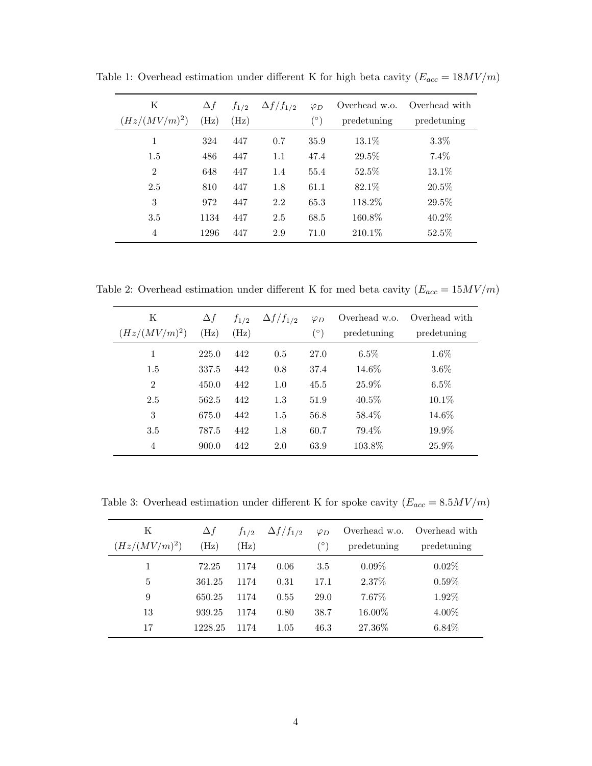| Κ<br>$(Hz/(MV/m)^2)$ | $\Delta f$<br>(Hz) | $f_{1/2}$<br>(Hz) | $\Delta f/f_{1/2}$ | $\varphi_D$<br>(°) | Overhead w.o.<br>predetuning | Overhead with<br>predetuning |
|----------------------|--------------------|-------------------|--------------------|--------------------|------------------------------|------------------------------|
| 1                    | 324                | 447               | 0.7                | 35.9               | 13.1\%                       | $3.3\%$                      |
| 1.5                  | 486                | 447               | 1.1                | 47.4               | 29.5%                        | 7.4%                         |
| 2                    | 648                | 447               | 1.4                | 55.4               | 52.5%                        | 13.1%                        |
| 2.5                  | 810                | 447               | 1.8                | 61.1               | 82.1%                        | 20.5%                        |
| 3                    | 972                | 447               | 2.2                | 65.3               | 118.2%                       | 29.5%                        |
| 3.5                  | 1134               | 447               | 2.5                | 68.5               | 160.8%                       | 40.2%                        |
| 4                    | 1296               | 447               | 2.9                | 71.0               | 210.1%                       | 52.5%                        |

Table 1: Overhead estimation under different K for high beta cavity  $(E_{acc} = 18 MV/m)$ 

Table 2: Overhead estimation under different K for med beta cavity  $(E_{acc} = 15 MV/m)$ 

| Κ<br>$(Hz/(MV/m)^2)$ | $\Delta f$<br>(Hz) | $f_{1/2}$<br>$(\mathrm{Hz})$ | $\Delta f/f_{1/2}$ | $\varphi_D$<br>$(\circ)$ | Overhead w.o.<br>predetuning | Overhead with<br>predetuning |
|----------------------|--------------------|------------------------------|--------------------|--------------------------|------------------------------|------------------------------|
| 1                    | 225.0              | 442                          | 0.5                | 27.0                     | $6.5\%$                      | 1.6%                         |
| 1.5                  | 337.5              | 442                          | 0.8                | 37.4                     | 14.6%                        | $3.6\%$                      |
| $\overline{2}$       | 450.0              | 442                          | 1.0                | 45.5                     | 25.9%                        | 6.5%                         |
| 2.5                  | 562.5              | 442                          | 1.3                | 51.9                     | 40.5%                        | 10.1%                        |
| 3                    | 675.0              | 442                          | 1.5                | 56.8                     | 58.4%                        | 14.6%                        |
| 3.5                  | 787.5              | 442                          | 1.8                | 60.7                     | 79.4%                        | 19.9%                        |
| 4                    | 900.0              | 442                          | 2.0                | 63.9                     | 103.8%                       | 25.9%                        |

Table 3: Overhead estimation under different K for spoke cavity  $(E_{acc} = 8.5 MV/m)$ 

| K<br>$(Hz/(MV/m)^2)$ | $\Delta f$<br>(Hz) | $f_{1/2}$<br>(Hz) | $\Delta f/f_{1/2}$ | $\varphi_D$<br>(°) | predetuning | Overhead w.o. Overhead with<br>predetuning |
|----------------------|--------------------|-------------------|--------------------|--------------------|-------------|--------------------------------------------|
|                      | 72.25              | 1174              | 0.06               | 3.5                | $0.09\%$    | $0.02\%$                                   |
| 5                    | 361.25             | 1174              | 0.31               | 17.1               | 2.37\%      | $0.59\%$                                   |
| 9                    | 650.25             | 1174              | 0.55               | 29.0               | 7.67%       | 1.92%                                      |
| 13                   | 939.25             | 1174              | 0.80               | 38.7               | 16.00%      | 4.00%                                      |
| 17                   | 1228.25            | 1174              | 1.05               | 46.3               | 27.36\%     | $6.84\%$                                   |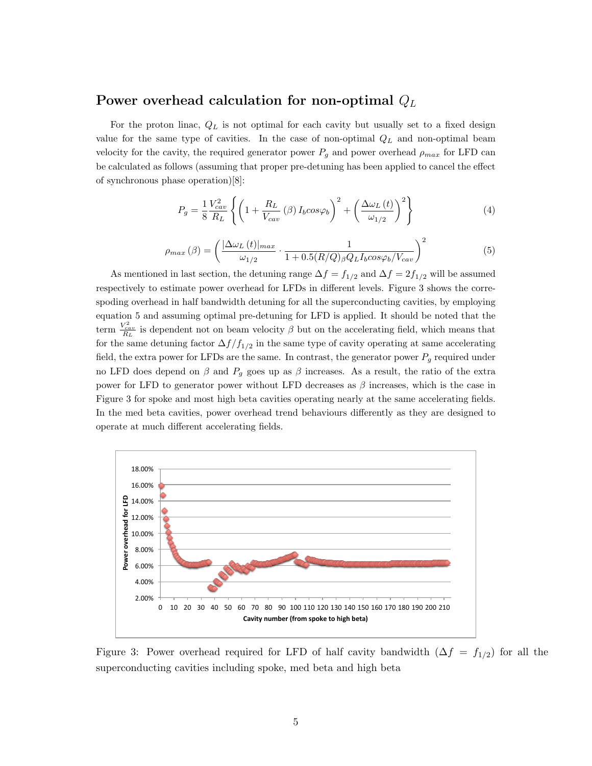### Power overhead calculation for non-optimal  $Q_L$

For the proton linac,  $Q_L$  is not optimal for each cavity but usually set to a fixed design value for the same type of cavities. In the case of non-optimal  $Q_L$  and non-optimal beam velocity for the cavity, the required generator power  $P_g$  and power overhead  $\rho_{max}$  for LFD can be calculated as follows (assuming that proper pre-detuning has been applied to cancel the effect of synchronous phase operation)[8]:

$$
P_g = \frac{1}{8} \frac{V_{cav}^2}{R_L} \left\{ \left( 1 + \frac{R_L}{V_{cav}} \left( \beta \right) I_b \cos \varphi_b \right)^2 + \left( \frac{\Delta \omega_L \left( t \right)}{\omega_{1/2}} \right)^2 \right\} \tag{4}
$$

$$
\rho_{max}(\beta) = \left(\frac{|\Delta\omega_L(t)|_{max}}{\omega_{1/2}} \cdot \frac{1}{1 + 0.5(R/Q)_{\beta}Q_L I_b cos\varphi_b/V_{cav}}\right)^2
$$
\n(5)

As mentioned in last section, the detuning range  $\Delta f = f_{1/2}$  and  $\Delta f = 2f_{1/2}$  will be assumed respectively to estimate power overhead for LFDs in different levels. Figure 3 shows the correspoding overhead in half bandwidth detuning for all the superconducting cavities, by employing equation 5 and assuming optimal pre-detuning for LFD is applied. It should be noted that the term  $\frac{V_{cav}^2}{R_L}$  is dependent not on beam velocity  $\beta$  but on the accelerating field, which means that for the same detuning factor  $\Delta f/f_{1/2}$  in the same type of cavity operating at same accelerating field, the extra power for LFDs are the same. In contrast, the generator power  $P_g$  required under no LFD does depend on  $\beta$  and  $P_q$  goes up as  $\beta$  increases. As a result, the ratio of the extra power for LFD to generator power without LFD decreases as  $\beta$  increases, which is the case in Figure 3 for spoke and most high beta cavities operating nearly at the same accelerating fields. In the med beta cavities, power overhead trend behaviours differently as they are designed to operate at much different accelerating fields.



Figure 3: Power overhead required for LFD of half cavity bandwidth  $(\Delta f = f_{1/2})$  for all the superconducting cavities including spoke, med beta and high beta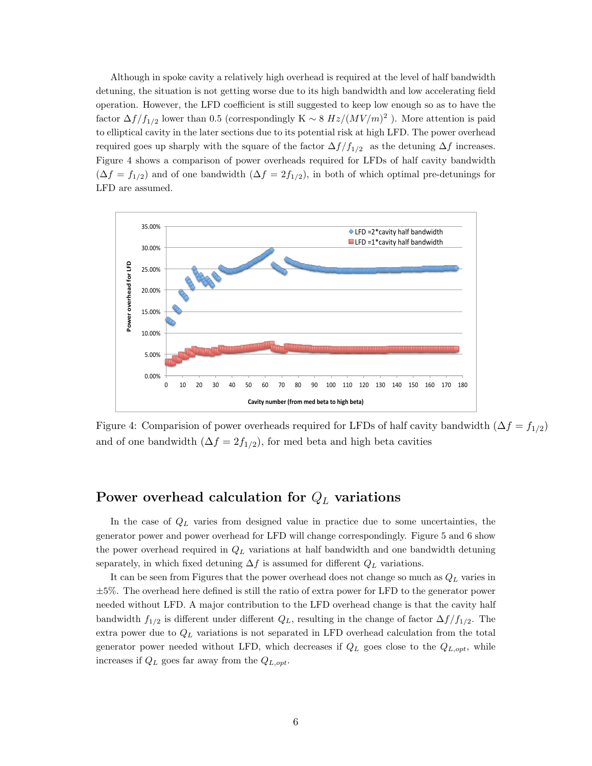Although in spoke cavity a relatively high overhead is required at the level of half bandwidth detuning, the situation is not getting worse due to its high bandwidth and low accelerating field operation. However, the LFD coefficient is still suggested to keep low enough so as to have the factor  $\Delta f/f_{1/2}$  lower than 0.5 (correspondingly K ~ 8  $Hz/(MV/m)^2$ ). More attention is paid to elliptical cavity in the later sections due to its potential risk at high LFD. The power overhead required goes up sharply with the square of the factor  $\Delta f/f_{1/2}$  as the detuning  $\Delta f$  increases. Figure 4 shows a comparison of power overheads required for LFDs of half cavity bandwidth  $(\Delta f = f_{1/2})$  and of one bandwidth  $(\Delta f = 2f_{1/2})$ , in both of which optimal pre-detunings for LFD are assumed.



Figure 4: Comparision of power overheads required for LFDs of half cavity bandwidth  $(\Delta f = f_{1/2})$ and of one bandwidth  $(\Delta f = 2f_{1/2})$ , for med beta and high beta cavities

## Power overhead calculation for  $Q_L$  variations

In the case of  $Q_L$  varies from designed value in practice due to some uncertainties, the generator power and power overhead for LFD will change correspondingly. Figure 5 and 6 show the power overhead required in  $Q_L$  variations at half bandwidth and one bandwidth detuning separately, in which fixed detuning  $\Delta f$  is assumed for different  $Q_L$  variations.

It can be seen from Figures that the power overhead does not change so much as  $Q_L$  varies in  $\pm 5\%$ . The overhead here defined is still the ratio of extra power for LFD to the generator power needed without LFD. A major contribution to the LFD overhead change is that the cavity half bandwidth  $f_{1/2}$  is different under different  $Q_L$ , resulting in the change of factor  $\Delta f/f_{1/2}$ . The extra power due to  $Q_L$  variations is not separated in LFD overhead calculation from the total generator power needed without LFD, which decreases if  $Q_L$  goes close to the  $Q_{L, opt}$ , while increases if  $Q_L$  goes far away from the  $Q_{L,opt}$ .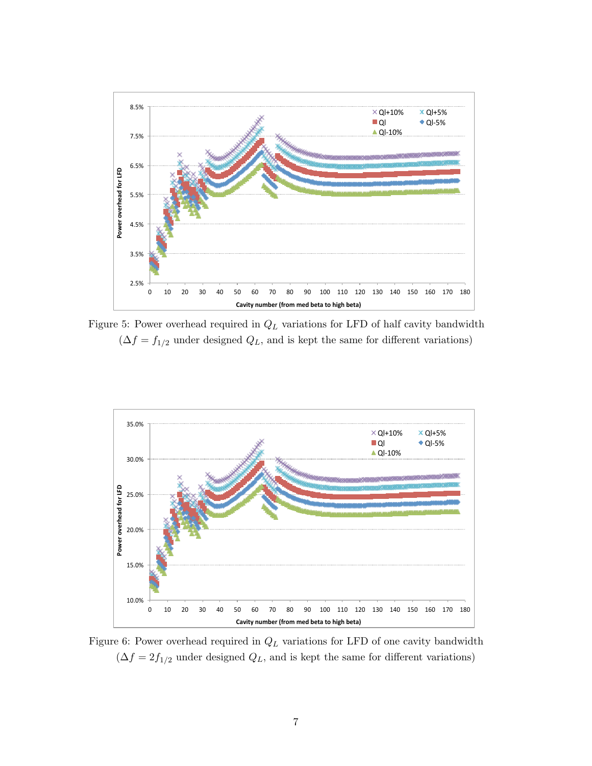

Figure 5: Power overhead required in  $Q_L$  variations for LFD of half cavity bandwidth  $(\Delta f = f_{1/2}$  under designed  $Q_L$ , and is kept the same for different variations)



Figure 6: Power overhead required in  $Q_L$  variations for LFD of one cavity bandwidth  $(\Delta f = 2f_{1/2}$  under designed  $Q_L$ , and is kept the same for different variations)